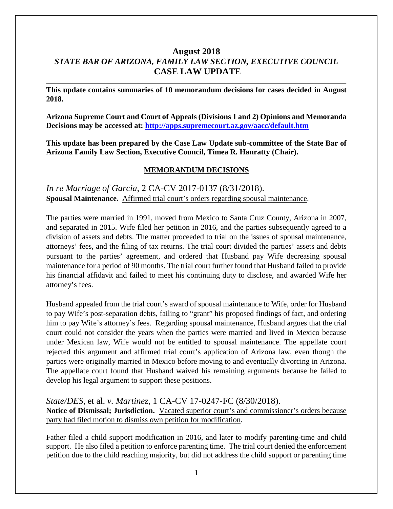# **August 2018** *STATE BAR OF ARIZONA, FAMILY LAW SECTION, EXECUTIVE COUNCIL* **CASE LAW UPDATE**

**This update contains summaries of 10 memorandum decisions for cases decided in August 2018.**

**Arizona Supreme Court and Court of Appeals (Divisions 1 and 2) Opinions and Memoranda Decisions may be accessed at: <http://apps.supremecourt.az.gov/aacc/default.htm>**

**This update has been prepared by the Case Law Update sub-committee of the State Bar of Arizona Family Law Section, Executive Council, Timea R. Hanratty (Chair).**

#### **MEMORANDUM DECISIONS**

*In re Marriage of Garcia*, 2 CA-CV 2017-0137 (8/31/2018). **Spousal Maintenance.** Affirmed trial court's orders regarding spousal maintenance.

The parties were married in 1991, moved from Mexico to Santa Cruz County, Arizona in 2007, and separated in 2015. Wife filed her petition in 2016, and the parties subsequently agreed to a division of assets and debts. The matter proceeded to trial on the issues of spousal maintenance, attorneys' fees, and the filing of tax returns. The trial court divided the parties' assets and debts pursuant to the parties' agreement, and ordered that Husband pay Wife decreasing spousal maintenance for a period of 90 months. The trial court further found that Husband failed to provide his financial affidavit and failed to meet his continuing duty to disclose, and awarded Wife her attorney's fees.

Husband appealed from the trial court's award of spousal maintenance to Wife, order for Husband to pay Wife's post-separation debts, failing to "grant" his proposed findings of fact, and ordering him to pay Wife's attorney's fees. Regarding spousal maintenance, Husband argues that the trial court could not consider the years when the parties were married and lived in Mexico because under Mexican law, Wife would not be entitled to spousal maintenance. The appellate court rejected this argument and affirmed trial court's application of Arizona law, even though the parties were originally married in Mexico before moving to and eventually divorcing in Arizona. The appellate court found that Husband waived his remaining arguments because he failed to develop his legal argument to support these positions.

*State/DES,* et al. *v. Martinez*, 1 CA-CV 17-0247-FC (8/30/2018). **Notice of Dismissal; Jurisdiction.** Vacated superior court's and commissioner's orders because party had filed motion to dismiss own petition for modification.

Father filed a child support modification in 2016, and later to modify parenting-time and child support. He also filed a petition to enforce parenting time. The trial court denied the enforcement petition due to the child reaching majority, but did not address the child support or parenting time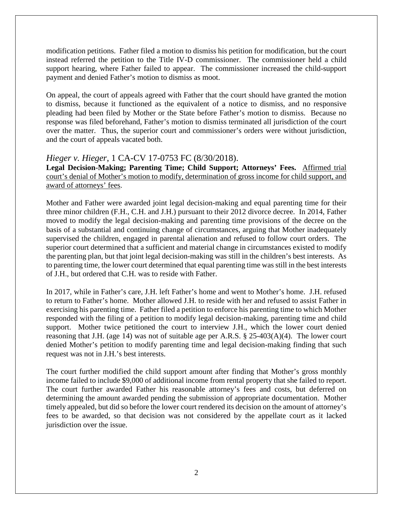modification petitions. Father filed a motion to dismiss his petition for modification, but the court instead referred the petition to the Title IV-D commissioner. The commissioner held a child support hearing, where Father failed to appear. The commissioner increased the child-support payment and denied Father's motion to dismiss as moot.

On appeal, the court of appeals agreed with Father that the court should have granted the motion to dismiss, because it functioned as the equivalent of a notice to dismiss, and no responsive pleading had been filed by Mother or the State before Father's motion to dismiss. Because no response was filed beforehand, Father's motion to dismiss terminated all jurisdiction of the court over the matter. Thus, the superior court and commissioner's orders were without jurisdiction, and the court of appeals vacated both.

# *Hieger v. Hieger*, 1 CA-CV 17-0753 FC (8/30/2018).

**Legal Decision-Making; Parenting Time; Child Support; Attorneys' Fees.** Affirmed trial court's denial of Mother's motion to modify, determination of gross income for child support, and award of attorneys' fees.

Mother and Father were awarded joint legal decision-making and equal parenting time for their three minor children (F.H., C.H. and J.H.) pursuant to their 2012 divorce decree. In 2014, Father moved to modify the legal decision-making and parenting time provisions of the decree on the basis of a substantial and continuing change of circumstances, arguing that Mother inadequately supervised the children, engaged in parental alienation and refused to follow court orders. The superior court determined that a sufficient and material change in circumstances existed to modify the parenting plan, but that joint legal decision-making was still in the children's best interests. As to parenting time, the lower court determined that equal parenting time was still in the best interests of J.H., but ordered that C.H. was to reside with Father.

In 2017, while in Father's care, J.H. left Father's home and went to Mother's home. J.H. refused to return to Father's home. Mother allowed J.H. to reside with her and refused to assist Father in exercising his parenting time. Father filed a petition to enforce his parenting time to which Mother responded with the filing of a petition to modify legal decision-making, parenting time and child support. Mother twice petitioned the court to interview J.H., which the lower court denied reasoning that J.H. (age 14) was not of suitable age per A.R.S. § 25-403(A)(4). The lower court denied Mother's petition to modify parenting time and legal decision-making finding that such request was not in J.H.'s best interests.

The court further modified the child support amount after finding that Mother's gross monthly income failed to include \$9,000 of additional income from rental property that she failed to report. The court further awarded Father his reasonable attorney's fees and costs, but deferred on determining the amount awarded pending the submission of appropriate documentation. Mother timely appealed, but did so before the lower court rendered its decision on the amount of attorney's fees to be awarded, so that decision was not considered by the appellate court as it lacked jurisdiction over the issue.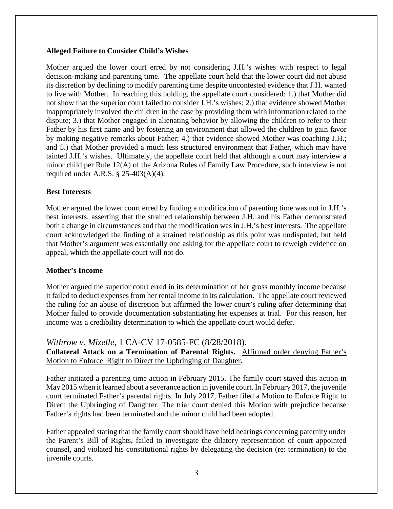#### **Alleged Failure to Consider Child's Wishes**

Mother argued the lower court erred by not considering J.H.'s wishes with respect to legal decision-making and parenting time. The appellate court held that the lower court did not abuse its discretion by declining to modify parenting time despite uncontested evidence that J.H. wanted to live with Mother. In reaching this holding, the appellate court considered: 1.) that Mother did not show that the superior court failed to consider J.H.'s wishes; 2.) that evidence showed Mother inappropriately involved the children in the case by providing them with information related to the dispute; 3.) that Mother engaged in alienating behavior by allowing the children to refer to their Father by his first name and by fostering an environment that allowed the children to gain favor by making negative remarks about Father; 4.) that evidence showed Mother was coaching J.H.; and 5.) that Mother provided a much less structured environment that Father, which may have tainted J.H.'s wishes. Ultimately, the appellate court held that although a court may interview a minor child per Rule 12(A) of the Arizona Rules of Family Law Procedure, such interview is not required under A.R.S.  $\S$  25-403(A)(4).

#### **Best Interests**

Mother argued the lower court erred by finding a modification of parenting time was not in J.H.'s best interests, asserting that the strained relationship between J.H. and his Father demonstrated both a change in circumstances and that the modification was in J.H.'s best interests. The appellate court acknowledged the finding of a strained relationship as this point was undisputed, but held that Mother's argument was essentially one asking for the appellate court to reweigh evidence on appeal, which the appellate court will not do.

#### **Mother's Income**

Mother argued the superior court erred in its determination of her gross monthly income because it failed to deduct expenses from her rental income in its calculation. The appellate court reviewed the ruling for an abuse of discretion but affirmed the lower court's ruling after determining that Mother failed to provide documentation substantiating her expenses at trial. For this reason, her income was a credibility determination to which the appellate court would defer.

### *Withrow v. Mizelle*, 1 CA-CV 17-0585-FC (8/28/2018).

**Collateral Attack on a Termination of Parental Rights.** Affirmed order denying Father's Motion to Enforce Right to Direct the Upbringing of Daughter.

Father initiated a parenting time action in February 2015. The family court stayed this action in May 2015 when it learned about a severance action in juvenile court. In February 2017, the juvenile court terminated Father's parental rights. In July 2017, Father filed a Motion to Enforce Right to Direct the Upbringing of Daughter. The trial court denied this Motion with prejudice because Father's rights had been terminated and the minor child had been adopted.

Father appealed stating that the family court should have held hearings concerning paternity under the Parent's Bill of Rights, failed to investigate the dilatory representation of court appointed counsel, and violated his constitutional rights by delegating the decision (re: termination) to the juvenile courts.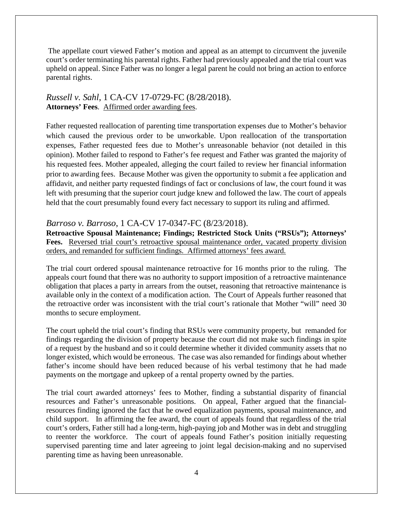The appellate court viewed Father's motion and appeal as an attempt to circumvent the juvenile court's order terminating his parental rights. Father had previously appealed and the trial court was upheld on appeal. Since Father was no longer a legal parent he could not bring an action to enforce parental rights.

### *Russell v. Sahl*, 1 CA-CV 17-0729-FC (8/28/2018). **Attorneys' Fees**. Affirmed order awarding fees.

Father requested reallocation of parenting time transportation expenses due to Mother's behavior which caused the previous order to be unworkable. Upon reallocation of the transportation expenses, Father requested fees due to Mother's unreasonable behavior (not detailed in this opinion). Mother failed to respond to Father's fee request and Father was granted the majority of his requested fees. Mother appealed, alleging the court failed to review her financial information prior to awarding fees. Because Mother was given the opportunity to submit a fee application and affidavit, and neither party requested findings of fact or conclusions of law, the court found it was left with presuming that the superior court judge knew and followed the law. The court of appeals held that the court presumably found every fact necessary to support its ruling and affirmed.

# *Barroso v. Barroso*, 1 CA-CV 17-0347-FC (8/23/2018).

**Retroactive Spousal Maintenance; Findings; Restricted Stock Units ("RSUs"); Attorneys'**  Fees. Reversed trial court's retroactive spousal maintenance order, vacated property division orders, and remanded for sufficient findings. Affirmed attorneys' fees award.

The trial court ordered spousal maintenance retroactive for 16 months prior to the ruling. The appeals court found that there was no authority to support imposition of a retroactive maintenance obligation that places a party in arrears from the outset, reasoning that retroactive maintenance is available only in the context of a modification action. The Court of Appeals further reasoned that the retroactive order was inconsistent with the trial court's rationale that Mother "will" need 30 months to secure employment.

The court upheld the trial court's finding that RSUs were community property, but remanded for findings regarding the division of property because the court did not make such findings in spite of a request by the husband and so it could determine whether it divided community assets that no longer existed, which would be erroneous. The case was also remanded for findings about whether father's income should have been reduced because of his verbal testimony that he had made payments on the mortgage and upkeep of a rental property owned by the parties.

The trial court awarded attorneys' fees to Mother, finding a substantial disparity of financial resources and Father's unreasonable positions. On appeal, Father argued that the financialresources finding ignored the fact that he owed equalization payments, spousal maintenance, and child support. In affirming the fee award, the court of appeals found that regardless of the trial court's orders, Father still had a long-term, high-paying job and Mother was in debt and struggling to reenter the workforce. The court of appeals found Father's position initially requesting supervised parenting time and later agreeing to joint legal decision-making and no supervised parenting time as having been unreasonable.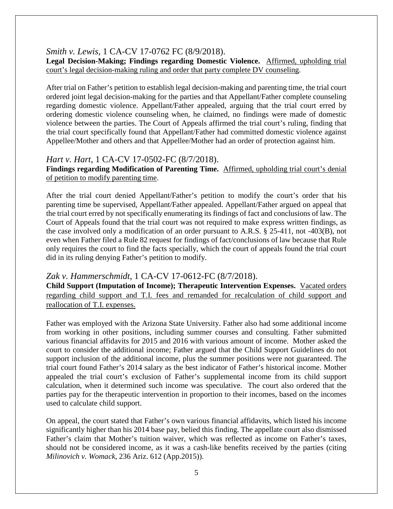### *Smith v. Lewis*, 1 CA-CV 17-0762 FC (8/9/2018).

**Legal Decision-Making; Findings regarding Domestic Violence.** Affirmed, upholding trial court's legal decision-making ruling and order that party complete DV counseling.

After trial on Father's petition to establish legal decision-making and parenting time, the trial court ordered joint legal decision-making for the parties and that Appellant/Father complete counseling regarding domestic violence. Appellant/Father appealed, arguing that the trial court erred by ordering domestic violence counseling when, he claimed, no findings were made of domestic violence between the parties. The Court of Appeals affirmed the trial court's ruling, finding that the trial court specifically found that Appellant/Father had committed domestic violence against Appellee/Mother and others and that Appellee/Mother had an order of protection against him.

# *Hart v. Hart*, 1 CA-CV 17-0502-FC (8/7/2018).

**Findings regarding Modification of Parenting Time.** Affirmed, upholding trial court's denial of petition to modify parenting time.

After the trial court denied Appellant/Father's petition to modify the court's order that his parenting time be supervised, Appellant/Father appealed. Appellant/Father argued on appeal that the trial court erred by not specifically enumerating its findings of fact and conclusions of law. The Court of Appeals found that the trial court was not required to make express written findings, as the case involved only a modification of an order pursuant to A.R.S. § 25-411, not -403(B), not even when Father filed a Rule 82 request for findings of fact/conclusions of law because that Rule only requires the court to find the facts specially, which the court of appeals found the trial court did in its ruling denying Father's petition to modify.

### *Zak v. Hammerschmidt*, 1 CA-CV 17-0612-FC (8/7/2018).

**Child Support (Imputation of Income); Therapeutic Intervention Expenses.** Vacated orders regarding child support and T.I. fees and remanded for recalculation of child support and reallocation of T.I. expenses.

Father was employed with the Arizona State University. Father also had some additional income from working in other positions, including summer courses and consulting. Father submitted various financial affidavits for 2015 and 2016 with various amount of income. Mother asked the court to consider the additional income; Father argued that the Child Support Guidelines do not support inclusion of the additional income, plus the summer positions were not guaranteed. The trial court found Father's 2014 salary as the best indicator of Father's historical income. Mother appealed the trial court's exclusion of Father's supplemental income from its child support calculation, when it determined such income was speculative. The court also ordered that the parties pay for the therapeutic intervention in proportion to their incomes, based on the incomes used to calculate child support.

On appeal, the court stated that Father's own various financial affidavits, which listed his income significantly higher than his 2014 base pay, belied this finding. The appellate court also dismissed Father's claim that Mother's tuition waiver, which was reflected as income on Father's taxes, should not be considered income, as it was a cash-like benefits received by the parties (citing *Milinovich v. Womack*, 236 Ariz. 612 (App.2015)).